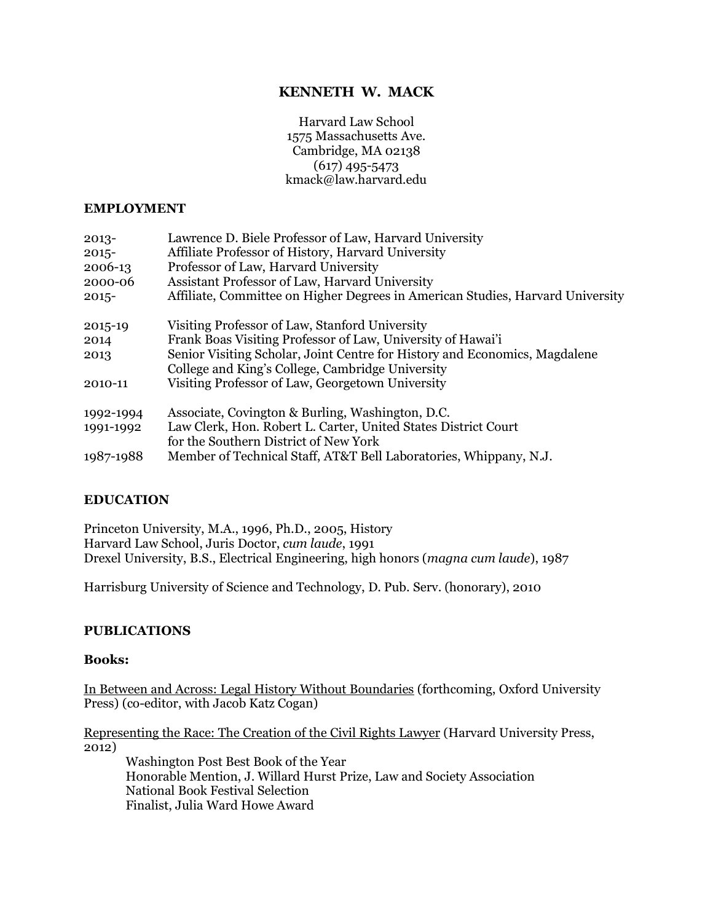# **KENNETH W. MACK**

Harvard Law School 1575 Massachusetts Ave. Cambridge, MA 02138 (617) 495-5473 kmack@law.harvard.edu

#### **EMPLOYMENT**

| $2013 -$  | Lawrence D. Biele Professor of Law, Harvard University                         |
|-----------|--------------------------------------------------------------------------------|
| $2015 -$  | Affiliate Professor of History, Harvard University                             |
| 2006-13   | Professor of Law, Harvard University                                           |
| 2000-06   | Assistant Professor of Law, Harvard University                                 |
| $2015 -$  | Affiliate, Committee on Higher Degrees in American Studies, Harvard University |
| 2015-19   | Visiting Professor of Law, Stanford University                                 |
| 2014      | Frank Boas Visiting Professor of Law, University of Hawai'i                    |
| 2013      | Senior Visiting Scholar, Joint Centre for History and Economics, Magdalene     |
|           | College and King's College, Cambridge University                               |
| 2010-11   | Visiting Professor of Law, Georgetown University                               |
| 1992-1994 | Associate, Covington & Burling, Washington, D.C.                               |
| 1991-1992 | Law Clerk, Hon. Robert L. Carter, United States District Court                 |
|           | for the Southern District of New York                                          |
| 1987-1988 | Member of Technical Staff, AT&T Bell Laboratories, Whippany, N.J.              |

### **EDUCATION**

Princeton University, M.A., 1996, Ph.D., 2005, History Harvard Law School, Juris Doctor, *cum laude*, 1991 Drexel University, B.S., Electrical Engineering, high honors (*magna cum laude*), 1987

Harrisburg University of Science and Technology, D. Pub. Serv. (honorary), 2010

#### **PUBLICATIONS**

#### **Books:**

In Between and Across: Legal History Without Boundaries (forthcoming, Oxford University Press) (co-editor, with Jacob Katz Cogan)

Representing the Race: The Creation of the Civil Rights Lawyer (Harvard University Press, 2012)

Washington Post Best Book of the Year Honorable Mention, J. Willard Hurst Prize, Law and Society Association National Book Festival Selection Finalist, Julia Ward Howe Award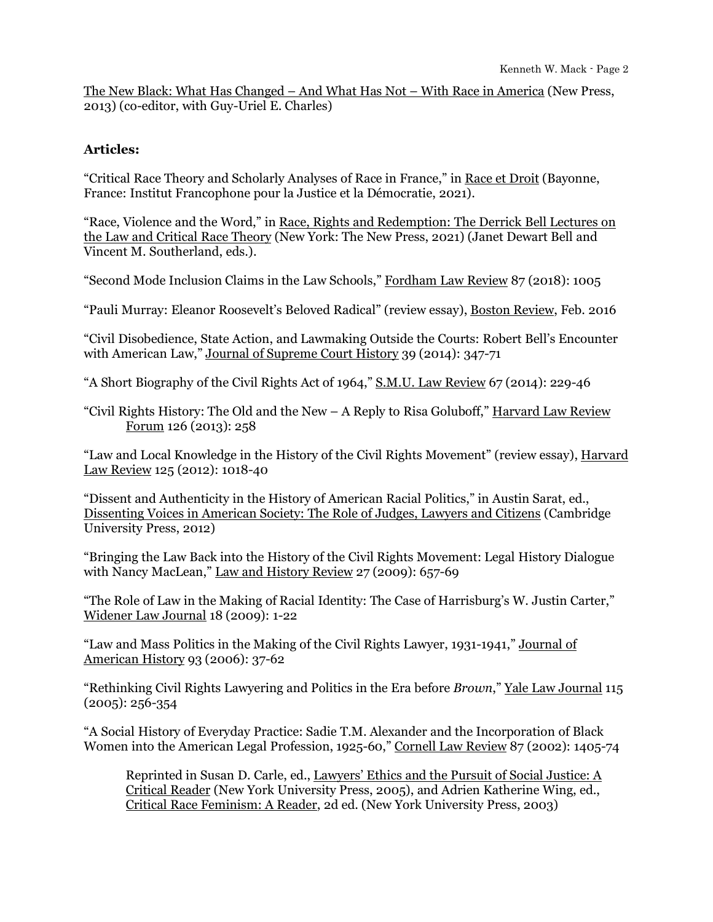The New Black: What Has Changed – And What Has Not – With Race in America (New Press, 2013) (co-editor, with Guy-Uriel E. Charles)

## **Articles:**

"Critical Race Theory and Scholarly Analyses of Race in France," in Race et Droit (Bayonne, France: Institut Francophone pour la Justice et la Démocratie, 2021).

"Race, Violence and the Word," in Race, Rights and Redemption: The Derrick Bell Lectures on the Law and Critical Race Theory (New York: The New Press, 2021) (Janet Dewart Bell and Vincent M. Southerland, eds.).

"Second Mode Inclusion Claims in the Law Schools," Fordham Law Review 87 (2018): 1005

"Pauli Murray: Eleanor Roosevelt's Beloved Radical" (review essay), Boston Review, Feb. 2016

"Civil Disobedience, State Action, and Lawmaking Outside the Courts: Robert Bell's Encounter with American Law," Journal of Supreme Court History 39 (2014): 347-71

"A Short Biography of the Civil Rights Act of 1964," S.M.U. Law Review 67 (2014): 229-46

"Civil Rights History: The Old and the New – A Reply to Risa Goluboff," Harvard Law Review Forum 126 (2013): 258

"Law and Local Knowledge in the History of the Civil Rights Movement" (review essay), Harvard Law Review 125 (2012): 1018-40

"Dissent and Authenticity in the History of American Racial Politics," in Austin Sarat, ed., Dissenting Voices in American Society: The Role of Judges, Lawyers and Citizens (Cambridge University Press, 2012)

"Bringing the Law Back into the History of the Civil Rights Movement: Legal History Dialogue with Nancy MacLean," Law and History Review 27 (2009): 657-69

"The Role of Law in the Making of Racial Identity: The Case of Harrisburg's W. Justin Carter," Widener Law Journal 18 (2009): 1-22

"Law and Mass Politics in the Making of the Civil Rights Lawyer, 1931-1941," Journal of American History 93 (2006): 37-62

"Rethinking Civil Rights Lawyering and Politics in the Era before *Brown*," Yale Law Journal 115 (2005): 256-354

"A Social History of Everyday Practice: Sadie T.M. Alexander and the Incorporation of Black Women into the American Legal Profession, 1925-60," Cornell Law Review 87 (2002): 1405-74

Reprinted in Susan D. Carle, ed., Lawyers' Ethics and the Pursuit of Social Justice: A Critical Reader (New York University Press, 2005), and Adrien Katherine Wing, ed., Critical Race Feminism: A Reader, 2d ed. (New York University Press, 2003)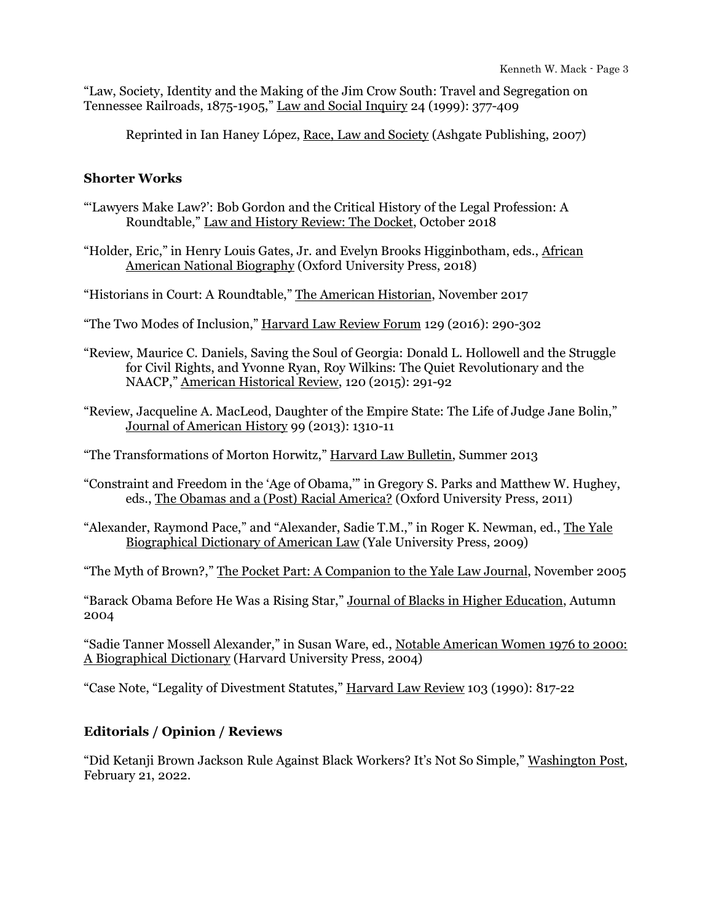"Law, Society, Identity and the Making of the Jim Crow South: Travel and Segregation on Tennessee Railroads, 1875-1905," Law and Social Inquiry 24 (1999): 377-409

Reprinted in Ian Haney López, Race, Law and Society (Ashgate Publishing, 2007)

### **Shorter Works**

- "'Lawyers Make Law?': Bob Gordon and the Critical History of the Legal Profession: A Roundtable," Law and History Review: The Docket, October 2018
- "Holder, Eric," in Henry Louis Gates, Jr. and Evelyn Brooks Higginbotham, eds., African American National Biography (Oxford University Press, 2018)
- "Historians in Court: A Roundtable," The American Historian, November 2017
- "The Two Modes of Inclusion," Harvard Law Review Forum 129 (2016): 290-302
- "Review, Maurice C. Daniels, Saving the Soul of Georgia: Donald L. Hollowell and the Struggle for Civil Rights, and Yvonne Ryan, Roy Wilkins: The Quiet Revolutionary and the NAACP," American Historical Review, 120 (2015): 291-92

"Review, Jacqueline A. MacLeod, Daughter of the Empire State: The Life of Judge Jane Bolin," Journal of American History 99 (2013): 1310-11

"The Transformations of Morton Horwitz," Harvard Law Bulletin, Summer 2013

- "Constraint and Freedom in the 'Age of Obama,'" in Gregory S. Parks and Matthew W. Hughey, eds., The Obamas and a (Post) Racial America? (Oxford University Press, 2011)
- "Alexander, Raymond Pace," and "Alexander, Sadie T.M.," in Roger K. Newman, ed., The Yale Biographical Dictionary of American Law (Yale University Press, 2009)

"The Myth of Brown?," The Pocket Part: A Companion to the Yale Law Journal, November 2005

"Barack Obama Before He Was a Rising Star," Journal of Blacks in Higher Education, Autumn 2004

"Sadie Tanner Mossell Alexander," in Susan Ware, ed., Notable American Women 1976 to 2000: A Biographical Dictionary (Harvard University Press, 2004)

"Case Note, "Legality of Divestment Statutes," Harvard Law Review 103 (1990): 817-22

## **Editorials / Opinion / Reviews**

"Did Ketanji Brown Jackson Rule Against Black Workers? It's Not So Simple," Washington Post, February 21, 2022.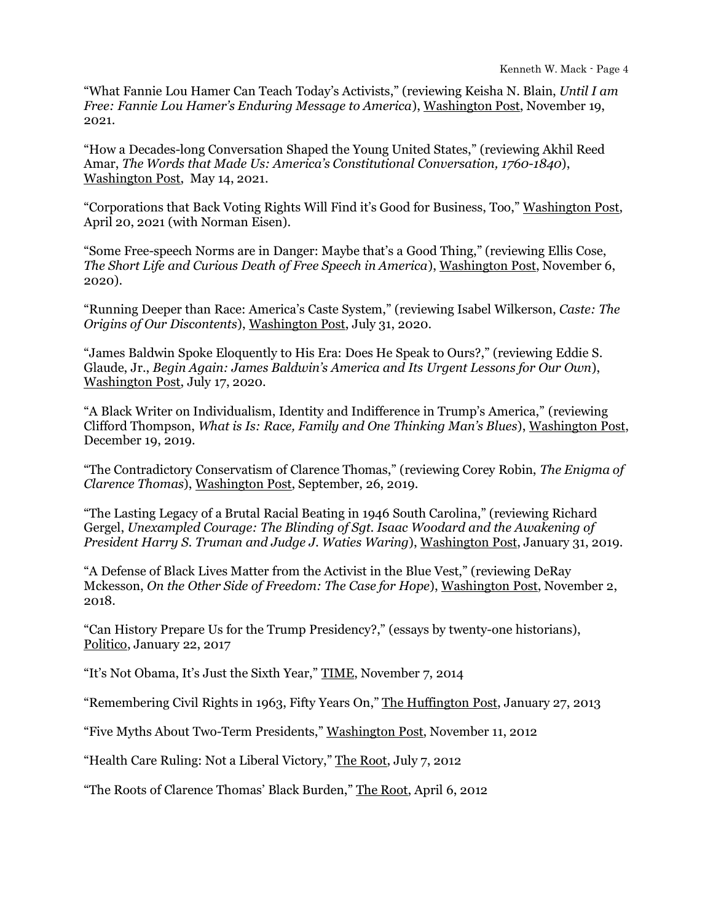"What Fannie Lou Hamer Can Teach Today's Activists," (reviewing Keisha N. Blain, *Until I am Free: Fannie Lou Hamer's Enduring Message to America*), Washington Post, November 19, 2021.

"How a Decades-long Conversation Shaped the Young United States," (reviewing Akhil Reed Amar, *The Words that Made Us: America's Constitutional Conversation, 1760-1840*), Washington Post, May 14, 2021.

"Corporations that Back Voting Rights Will Find it's Good for Business, Too," Washington Post, April 20, 2021 (with Norman Eisen).

"Some Free-speech Norms are in Danger: Maybe that's a Good Thing," (reviewing Ellis Cose, *The Short Life and Curious Death of Free Speech in America*), Washington Post, November 6, 2020).

"Running Deeper than Race: America's Caste System," (reviewing Isabel Wilkerson, *Caste: The Origins of Our Discontents*), Washington Post, July 31, 2020.

"James Baldwin Spoke Eloquently to His Era: Does He Speak to Ours?," (reviewing Eddie S. Glaude, Jr., *Begin Again: James Baldwin's America and Its Urgent Lessons for Our Own*), Washington Post, July 17, 2020.

"A Black Writer on Individualism, Identity and Indifference in Trump's America," (reviewing Clifford Thompson, *What is Is: Race, Family and One Thinking Man's Blues*), Washington Post, December 19, 2019.

"The Contradictory Conservatism of Clarence Thomas," (reviewing Corey Robin, *The Enigma of Clarence Thomas*), Washington Post, September, 26, 2019.

"The Lasting Legacy of a Brutal Racial Beating in 1946 South Carolina," (reviewing Richard Gergel, *Unexampled Courage: The Blinding of Sgt. Isaac Woodard and the Awakening of President Harry S. Truman and Judge J. Waties Waring*), Washington Post, January 31, 2019.

"A Defense of Black Lives Matter from the Activist in the Blue Vest," (reviewing DeRay Mckesson, *On the Other Side of Freedom: The Case for Hope*), Washington Post, November 2, 2018.

"Can History Prepare Us for the Trump Presidency?," (essays by twenty-one historians), Politico, January 22, 2017

"It's Not Obama, It's Just the Sixth Year," TIME, November 7, 2014

"Remembering Civil Rights in 1963, Fifty Years On," The Huffington Post, January 27, 2013

"Five Myths About Two-Term Presidents," Washington Post, November 11, 2012

"Health Care Ruling: Not a Liberal Victory," The Root, July 7, 2012

"The Roots of Clarence Thomas' Black Burden," The Root, April 6, 2012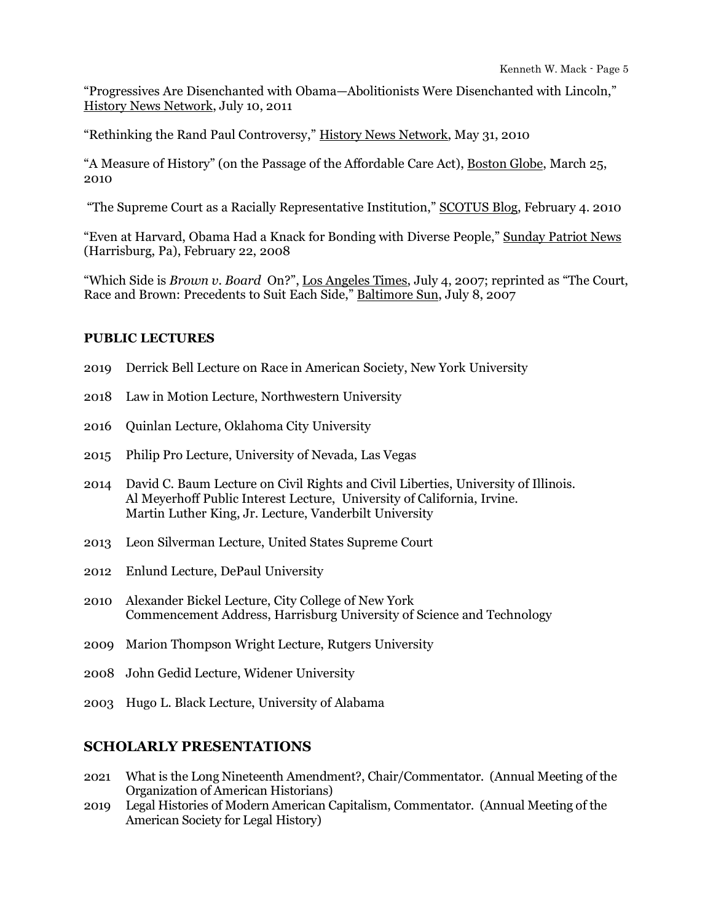"Progressives Are Disenchanted with Obama—Abolitionists Were Disenchanted with Lincoln," History News Network, July 10, 2011

"Rethinking the Rand Paul Controversy," History News Network, May 31, 2010

"A Measure of History" (on the Passage of the Affordable Care Act), Boston Globe, March 25, 2010

"The Supreme Court as a Racially Representative Institution," SCOTUS Blog, February 4. 2010

"Even at Harvard, Obama Had a Knack for Bonding with Diverse People," Sunday Patriot News (Harrisburg, Pa), February 22, 2008

"Which Side is *Brown v. Board* On?", Los Angeles Times, July 4, 2007; reprinted as "The Court, Race and Brown: Precedents to Suit Each Side," Baltimore Sun, July 8, 2007

### **PUBLIC LECTURES**

- 2019 Derrick Bell Lecture on Race in American Society, New York University
- 2018 Law in Motion Lecture, Northwestern University
- 2016 Quinlan Lecture, Oklahoma City University
- 2015 Philip Pro Lecture, University of Nevada, Las Vegas
- 2014 David C. Baum Lecture on Civil Rights and Civil Liberties, University of Illinois. Al Meyerhoff Public Interest Lecture, University of California, Irvine. Martin Luther King, Jr. Lecture, Vanderbilt University
- 2013 Leon Silverman Lecture, United States Supreme Court
- 2012 Enlund Lecture, DePaul University
- 2010 Alexander Bickel Lecture, City College of New York Commencement Address, Harrisburg University of Science and Technology
- 2009 Marion Thompson Wright Lecture, Rutgers University
- 2008 John Gedid Lecture, Widener University
- 2003 Hugo L. Black Lecture, University of Alabama

## **SCHOLARLY PRESENTATIONS**

- 2021 What is the Long Nineteenth Amendment?, Chair/Commentator. (Annual Meeting of the Organization of American Historians)
- 2019 Legal Histories of Modern American Capitalism, Commentator. (Annual Meeting of the American Society for Legal History)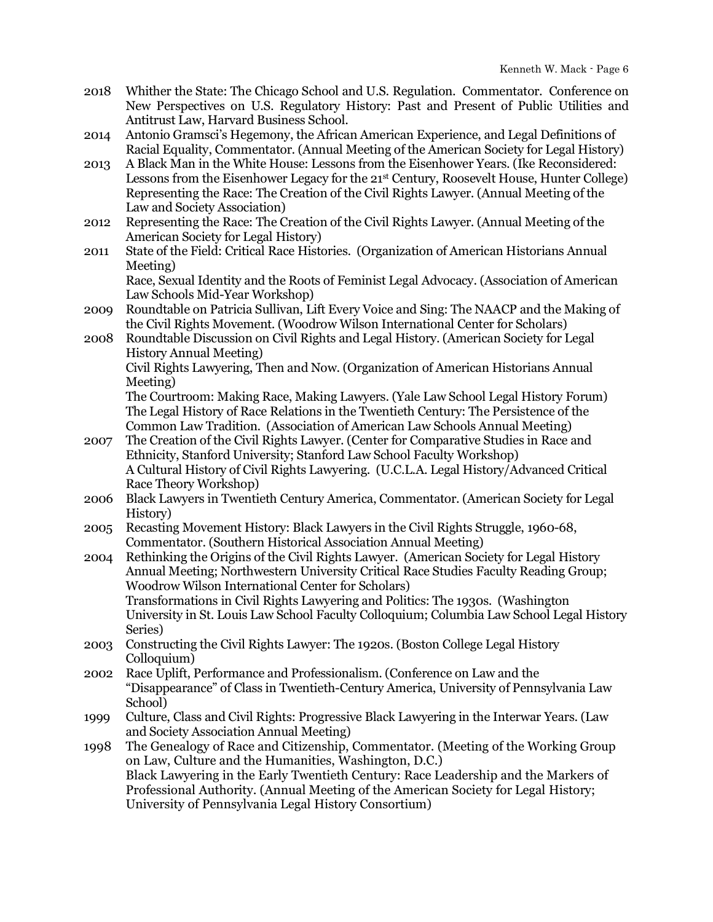- 2018 Whither the State: The Chicago School and U.S. Regulation. Commentator. Conference on New Perspectives on U.S. Regulatory History: Past and Present of Public Utilities and Antitrust Law, Harvard Business School.
- 2014 Antonio Gramsci's Hegemony, the African American Experience, and Legal Definitions of Racial Equality, Commentator. (Annual Meeting of the American Society for Legal History)
- 2013 A Black Man in the White House: Lessons from the Eisenhower Years. (Ike Reconsidered: Lessons from the Eisenhower Legacy for the 21st Century, Roosevelt House, Hunter College) Representing the Race: The Creation of the Civil Rights Lawyer. (Annual Meeting of the Law and Society Association)
- 2012 Representing the Race: The Creation of the Civil Rights Lawyer. (Annual Meeting of the American Society for Legal History)
- 2011 State of the Field: Critical Race Histories. (Organization of American Historians Annual Meeting)

Race, Sexual Identity and the Roots of Feminist Legal Advocacy. (Association of American Law Schools Mid-Year Workshop)

2009 Roundtable on Patricia Sullivan, Lift Every Voice and Sing: The NAACP and the Making of the Civil Rights Movement. (Woodrow Wilson International Center for Scholars)

2008 Roundtable Discussion on Civil Rights and Legal History. (American Society for Legal History Annual Meeting)

Civil Rights Lawyering, Then and Now. (Organization of American Historians Annual Meeting)

The Courtroom: Making Race, Making Lawyers. (Yale Law School Legal History Forum) The Legal History of Race Relations in the Twentieth Century: The Persistence of the Common Law Tradition. (Association of American Law Schools Annual Meeting)

- 2007 The Creation of the Civil Rights Lawyer. (Center for Comparative Studies in Race and Ethnicity, Stanford University; Stanford Law School Faculty Workshop) A Cultural History of Civil Rights Lawyering. (U.C.L.A. Legal History/Advanced Critical Race Theory Workshop)
- 2006 Black Lawyers in Twentieth Century America, Commentator. (American Society for Legal History)
- 2005 Recasting Movement History: Black Lawyers in the Civil Rights Struggle, 1960-68, Commentator. (Southern Historical Association Annual Meeting)
- 2004 Rethinking the Origins of the Civil Rights Lawyer. (American Society for Legal History Annual Meeting; Northwestern University Critical Race Studies Faculty Reading Group; Woodrow Wilson International Center for Scholars) Transformations in Civil Rights Lawyering and Politics: The 1930s. (Washington University in St. Louis Law School Faculty Colloquium; Columbia Law School Legal History Series)
- 2003 Constructing the Civil Rights Lawyer: The 1920s. (Boston College Legal History Colloquium)
- 2002 Race Uplift, Performance and Professionalism. (Conference on Law and the "Disappearance" of Class in Twentieth-Century America, University of Pennsylvania Law School)
- 1999 Culture, Class and Civil Rights: Progressive Black Lawyering in the Interwar Years. (Law and Society Association Annual Meeting)

1998 The Genealogy of Race and Citizenship, Commentator. (Meeting of the Working Group on Law, Culture and the Humanities, Washington, D.C.) Black Lawyering in the Early Twentieth Century: Race Leadership and the Markers of Professional Authority. (Annual Meeting of the American Society for Legal History; University of Pennsylvania Legal History Consortium)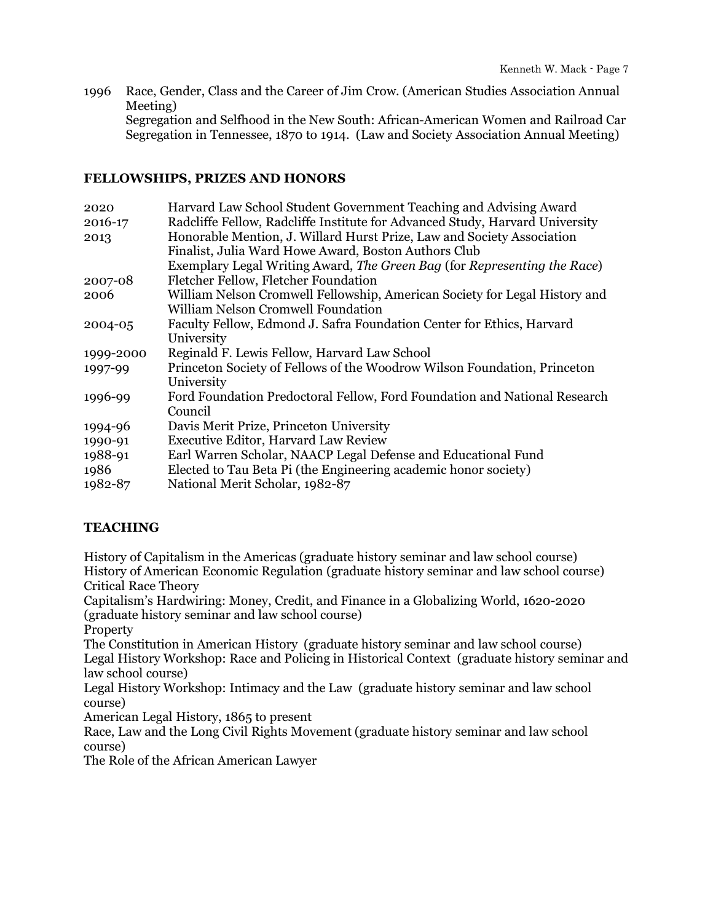1996 Race, Gender, Class and the Career of Jim Crow. (American Studies Association Annual Meeting) Segregation and Selfhood in the New South: African-American Women and Railroad Car Segregation in Tennessee, 1870 to 1914. (Law and Society Association Annual Meeting)

## **FELLOWSHIPS, PRIZES AND HONORS**

| 2020      | Harvard Law School Student Government Teaching and Advising Award            |
|-----------|------------------------------------------------------------------------------|
| 2016-17   | Radcliffe Fellow, Radcliffe Institute for Advanced Study, Harvard University |
| 2013      | Honorable Mention, J. Willard Hurst Prize, Law and Society Association       |
|           | Finalist, Julia Ward Howe Award, Boston Authors Club                         |
|           | Exemplary Legal Writing Award, The Green Bag (for Representing the Race)     |
| 2007-08   | Fletcher Fellow, Fletcher Foundation                                         |
| 2006      | William Nelson Cromwell Fellowship, American Society for Legal History and   |
|           | <b>William Nelson Cromwell Foundation</b>                                    |
| 2004-05   | Faculty Fellow, Edmond J. Safra Foundation Center for Ethics, Harvard        |
|           | University                                                                   |
| 1999-2000 | Reginald F. Lewis Fellow, Harvard Law School                                 |
| 1997-99   | Princeton Society of Fellows of the Woodrow Wilson Foundation, Princeton     |
|           | University                                                                   |
| 1996-99   | Ford Foundation Predoctoral Fellow, Ford Foundation and National Research    |
|           | Council                                                                      |
| 1994-96   | Davis Merit Prize, Princeton University                                      |
| 1990-91   | <b>Executive Editor, Harvard Law Review</b>                                  |
| 1988-91   | Earl Warren Scholar, NAACP Legal Defense and Educational Fund                |
| 1986      | Elected to Tau Beta Pi (the Engineering academic honor society)              |
| 1982-87   | National Merit Scholar, 1982-87                                              |
|           |                                                                              |

## **TEACHING**

History of Capitalism in the Americas (graduate history seminar and law school course) History of American Economic Regulation (graduate history seminar and law school course) Critical Race Theory

Capitalism's Hardwiring: Money, Credit, and Finance in a Globalizing World, 1620-2020 (graduate history seminar and law school course)

**Property** 

The Constitution in American History (graduate history seminar and law school course) Legal History Workshop: Race and Policing in Historical Context (graduate history seminar and law school course)

Legal History Workshop: Intimacy and the Law (graduate history seminar and law school course)

American Legal History, 1865 to present

Race, Law and the Long Civil Rights Movement (graduate history seminar and law school course)

The Role of the African American Lawyer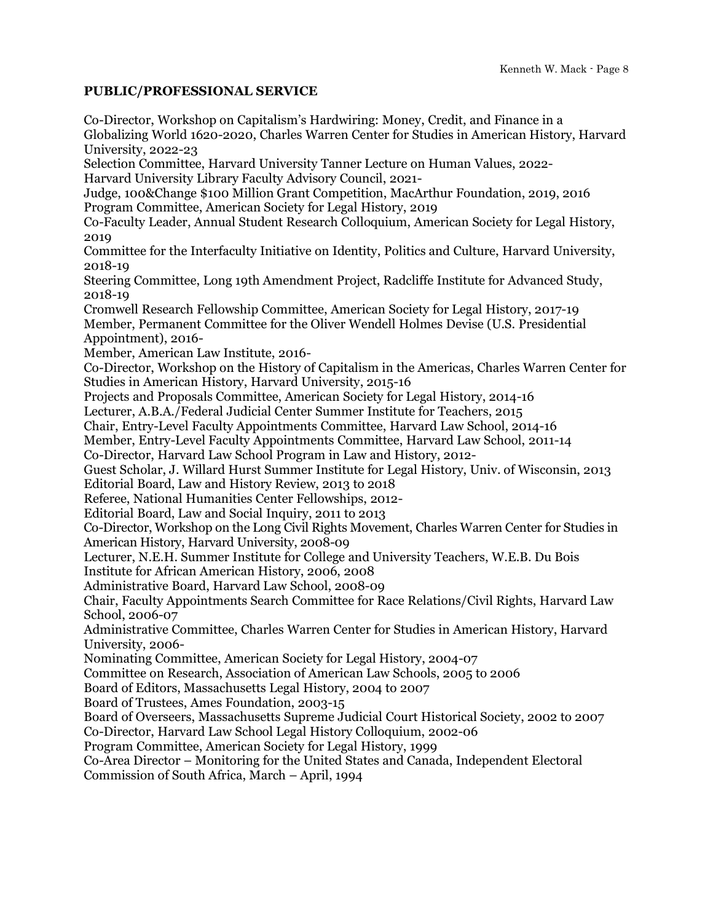### **PUBLIC/PROFESSIONAL SERVICE**

Co-Director, Workshop on Capitalism's Hardwiring: Money, Credit, and Finance in a Globalizing World 1620-2020, Charles Warren Center for Studies in American History, Harvard University, 2022-23 Selection Committee, Harvard University Tanner Lecture on Human Values, 2022- Harvard University Library Faculty Advisory Council, 2021- Judge, 100&Change \$100 Million Grant Competition, MacArthur Foundation, 2019, 2016 Program Committee, American Society for Legal History, 2019 Co-Faculty Leader, Annual Student Research Colloquium, American Society for Legal History, 2019 Committee for the Interfaculty Initiative on Identity, Politics and Culture, Harvard University, 2018-19 Steering Committee, Long 19th Amendment Project, Radcliffe Institute for Advanced Study, 2018-19 Cromwell Research Fellowship Committee, American Society for Legal History, 2017-19 Member, Permanent Committee for the Oliver Wendell Holmes Devise (U.S. Presidential Appointment), 2016- Member, American Law Institute, 2016- Co-Director, Workshop on the History of Capitalism in the Americas, Charles Warren Center for Studies in American History, Harvard University, 2015-16 Projects and Proposals Committee, American Society for Legal History, 2014-16 Lecturer, A.B.A./Federal Judicial Center Summer Institute for Teachers, 2015 Chair, Entry-Level Faculty Appointments Committee, Harvard Law School, 2014-16 Member, Entry-Level Faculty Appointments Committee, Harvard Law School, 2011-14 Co-Director, Harvard Law School Program in Law and History, 2012- Guest Scholar, J. Willard Hurst Summer Institute for Legal History, Univ. of Wisconsin, 2013 Editorial Board, Law and History Review, 2013 to 2018 Referee, National Humanities Center Fellowships, 2012- Editorial Board, Law and Social Inquiry, 2011 to 2013 Co-Director, Workshop on the Long Civil Rights Movement, Charles Warren Center for Studies in American History, Harvard University, 2008-09 Lecturer, N.E.H. Summer Institute for College and University Teachers, W.E.B. Du Bois Institute for African American History, 2006, 2008 Administrative Board, Harvard Law School, 2008-09 Chair, Faculty Appointments Search Committee for Race Relations/Civil Rights, Harvard Law School, 2006-07 Administrative Committee, Charles Warren Center for Studies in American History, Harvard University, 2006- Nominating Committee, American Society for Legal History, 2004-07 Committee on Research, Association of American Law Schools, 2005 to 2006 Board of Editors, Massachusetts Legal History, 2004 to 2007 Board of Trustees, Ames Foundation, 2003-15 Board of Overseers, Massachusetts Supreme Judicial Court Historical Society, 2002 to 2007 Co-Director, Harvard Law School Legal History Colloquium, 2002-06 Program Committee, American Society for Legal History, 1999 Co-Area Director – Monitoring for the United States and Canada, Independent Electoral Commission of South Africa, March – April, 1994